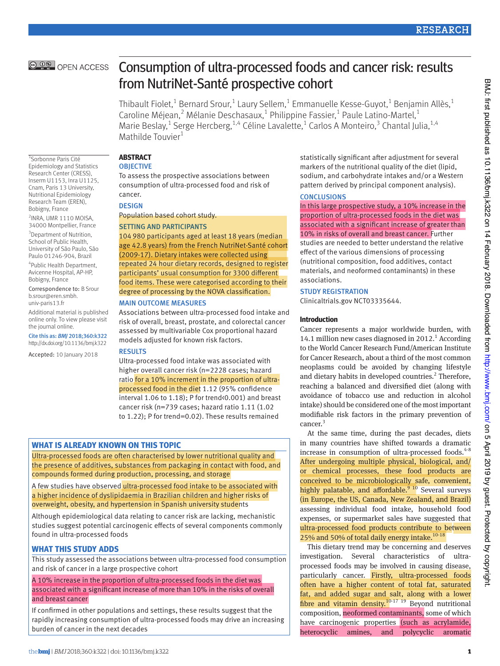## **@ 0 ©** OPEN ACCESS

# Consumption of ultra-processed foods and cancer risk: results from NutriNet-Santé prospective cohort

Thibault Fiolet,<sup>1</sup> Bernard Srour,<sup>1</sup> Laury Sellem,<sup>1</sup> Emmanuelle Kesse-Guyot,<sup>1</sup> Benjamin Allès,<sup>1</sup> Caroline Méjean,<sup>2</sup> Mélanie Deschasaux,<sup>1</sup> Philippine Fassier,<sup>1</sup> Paule Latino-Martel,<sup>1</sup> Marie Beslay,<sup>1</sup> Serge Hercberg,<sup>1,4</sup> Céline Lavalette,<sup>1</sup> Carlos A Monteiro,<sup>3</sup> Chantal Julia,<sup>1,4</sup> Mathilde Touvier<sup>1</sup>

#### 1 Sorbonne Paris Cité Epidemiology and Statistics Research Center (CRESS), Inserm U1153, Inra U1125, Cnam, Paris 13 University, Nutritional Epidemiology Research Team (EREN), Bobigny, France 2 INRA, UMR 1110 MOISA, 34000 Montpellier, France <sup>3</sup>Department of Nutrition, School of Public Health, University of São Paulo, São Paulo 01246-904, Brazil 4 Public Health Department,

Avicenne Hospital, AP-HP, Bobigny, France

Correspondence to: B Srour b.srour@eren.smbh. univ-paris13.fr

Additional material is published online only. To view please visit the journal online.

#### Cite this as: *BMJ* 2018;360:k322 http://dx.doi.org/10.1136/bmj.k322

Accepted: 10 January 2018

## **ABSTRACT**

#### **OBJECTIVE**

To assess the prospective associations between consumption of ultra-processed food and risk of cancer.

#### **DESIGN**

Population based cohort study.

## SETTING AND PARTICIPANTS

104 980 participants aged at least 18 years (median age 42.8 years) from the French NutriNet-Santé cohort (2009-17). Dietary intakes were collected using repeated 24 hour dietary records, designed to register participants' usual consumption for 3300 diferent food items. These were categorised according to their degree of processing by the NOVA classifcation.

## MAIN OUTCOME MEASURES

Associations between ultra-processed food intake and risk of overall, breast, prostate, and colorectal cancer assessed by multivariable Cox proportional hazard models adjusted for known risk factors.

## **RESULTS**

Ultra-processed food intake was associated with higher overall cancer risk (n=2228 cases; hazard ratio for a 10% increment in the proportion of ultraprocessed food in the diet 1.12 (95% confdence interval 1.06 to 1.18); P for trend<0.001) and breast cancer risk (n=739 cases; hazard ratio 1.11 (1.02 to 1.22); P for trend=0.02). These results remained

## **WHAT IS ALREADY KNOWN ON THIS TOPIC**

Ultra-processed foods are often characterised by lower nutritional quality and the presence of additives, substances from packaging in contact with food, and compounds formed during production, processing, and storage

A few studies have observed ultra-processed food intake to be associated with a higher incidence of dyslipidaemia in Brazilian children and higher risks of overweight, obesity, and hypertension in Spanish university students

Although epidemiological data relating to cancer risk are lacking, mechanistic studies suggest potential carcinogenic efects of several components commonly found in ultra-processed foods

## **WHAT THIS STUDY ADDS**

This study assessed the associations between ultra-processed food consumption and risk of cancer in a large prospective cohort

A 10% increase in the proportion of ultra-processed foods in the diet was associated with a signifcant increase of more than 10% in the risks of overall and breast cancer

If confrmed in other populations and settings, these results suggest that the rapidly increasing consumption of ultra-processed foods may drive an increasing burden of cancer in the next decades

statistically significant after adjustment for several markers of the nutritional quality of the diet (lipid, sodium, and carbohydrate intakes and/or a Western pattern derived by principal component analysis).

## **CONCLUSIONS**

In this large prospective study, a 10% increase in the proportion of ultra-processed foods in the diet was associated with a signifcant increase of greater than 10% in risks of overall and breast cancer. Further studies are needed to better understand the relative efect of the various dimensions of processing (nutritional composition, food additives, contact materials, and neoformed contaminants) in these associations.

## STUDY REGISTRATION

Clinicaltrials.gov NCT03335644.

## **Introduction**

Cancer represents a major worldwide burden, with 14.1 million new cases diagnosed in 2012.<sup>1</sup> According to the World Cancer Research Fund/American Institute for Cancer Research, about a third of the most common neoplasms could be avoided by changing lifestyle and dietary habits in developed countries.<sup>2</sup> Therefore, reaching a balanced and diversified diet (along with avoidance of tobacco use and reduction in alcohol intake) should be considered one of the most important modifiable risk factors in the primary prevention of cancer.<sup>3</sup>

At the same time, during the past decades, diets in many countries have shifted towards a dramatic increase in consumption of ultra-processed foods.<sup>4-8</sup> After undergoing multiple physical, biological, and/ or chemical processes, these food products are conceived to be microbiologically safe, convenient, highly palatable, and affordable.<sup>9 10</sup> Several surveys (in Europe, the US, Canada, New Zealand, and Brazil) assessing individual food intake, household food expenses, or supermarket sales have suggested that ultra-processed food products contribute to between 25% and 50% of total daily energy intake.<sup>10-18</sup>

This dietary trend may be concerning and deserves investigation. Several characteristics of ultraprocessed foods may be involved in causing disease, particularly cancer. Firstly, ultra-processed foods often have a higher content of total fat, saturated fat, and added sugar and salt, along with a lower fibre and vitamin density.<sup>10-17-19</sup> Beyond nutritional composition, neoformed contaminants, some of which have carcinogenic properties (such as acrylamide, heterocyclic amines, and polycyclic aromatic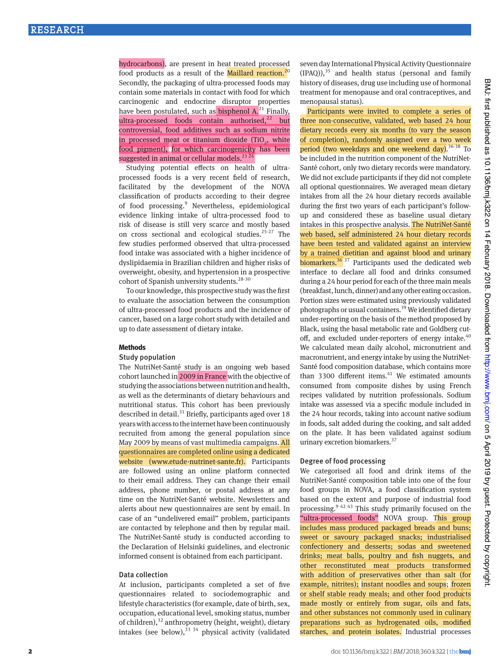hydrocarbons), are present in heat treated processed food products as a result of the **Maillard reaction.**<sup>20</sup> Secondly, the packaging of ultra-processed foods may contain some materials in contact with food for which carcinogenic and endocrine disruptor properties have been postulated, such as bisphenol  $A^{21}$  Finally, ultra-processed foods contain authorised,<sup>22</sup> but controversial, food additives such as sodium nitrite in processed meat or titanium dioxide (TiO<sub>2</sub>, white food pigment), for which carcinogenicity has been suggested in animal or cellular models.<sup>23</sup><sup>24</sup>

Studying potential effects on health of ultraprocessed foods is a very recent field of research, facilitated by the development of the NOVA classification of products according to their degree of food processing.<sup>9</sup> Nevertheless, epidemiological evidence linking intake of ultra-processed food to risk of disease is still very scarce and mostly based on cross sectional and ecological studies. $25-27$  The few studies performed observed that ultra-processed food intake was associated with a higher incidence of dyslipidaemia in Brazilian children and higher risks of overweight, obesity, and hypertension in a prospective cohort of Spanish university students.<sup>28-30</sup>

To our knowledge, this prospective study was the first to evaluate the association between the consumption of ultra-processed food products and the incidence of cancer, based on a large cohort study with detailed and up to date assessment of dietary intake.

#### **Methods**

#### Study population

The NutriNet-Santé study is an ongoing web based cohort launched in 2009 in France with the objective of studying the associations between nutrition and health, as well as the determinants of dietary behaviours and nutritional status. This cohort has been previously described in detail.<sup>31</sup> Briefly, participants aged over 18 years with access to the internet have been continuously recruited from among the general population since May 2009 by means of vast multimedia campaigns. All questionnaires are completed online using a dedicated website (www.etude-nutrinet-sante.fr). Participants are followed using an online platform connected to their email address. They can change their email address, phone number, or postal address at any time on the NutriNet-Santé website. Newsletters and alerts about new questionnaires are sent by email. In case of an "undelivered email" problem, participants are contacted by telephone and then by regular mail. The NutriNet-Santé study is conducted according to the Declaration of Helsinki guidelines, and electronic informed consent is obtained from each participant.

#### Data collection

At inclusion, participants completed a set of five questionnaires related to sociodemographic and lifestyle characteristics (for example, date of birth, sex, occupation, educational level, smoking status, number of children),<sup>32</sup> anthropometry (height, weight), dietary intakes (see below),  $3334$  physical activity (validated seven day International Physical Activity Questionnaire  $(IPAQ)$ ,<sup>35</sup> and health status (personal and family history of diseases, drug use including use of hormonal treatment for menopause and oral contraceptives, and menopausal status).

Participants were invited to complete a series of three non-consecutive, validated, web based 24 hour dietary records every six months (to vary the season of completion), randomly assigned over a two week period (two weekdays and one weekend day).<sup>36-38</sup> To be included in the nutrition component of the NutriNet-Santé cohort, only two dietary records were mandatory. We did not exclude participants if they did not complete all optional questionnaires. We averaged mean dietary intakes from all the 24 hour dietary records available during the first two years of each participant's followup and considered these as baseline usual dietary intakes in this prospective analysis. The NutriNet-Santé web based, self administered 24 hour dietary records have been tested and validated against an interview by a trained dietitian and against blood and urinary biomarkers.<sup>36</sup><sup>37</sup> Participants used the dedicated web interface to declare all food and drinks consumed during a 24 hour period for each of the three main meals (breakfast, lunch, dinner) and any other eating occasion. Portion sizes were estimated using previously validated photographs or usual containers.<sup>39</sup> We identified dietary under-reporting on the basis of the method proposed by Black, using the basal metabolic rate and Goldberg cutoff, and excluded under-reporters of energy intake.<sup>40</sup> We calculated mean daily alcohol, micronutrient and macronutrient, and energy intake by using the NutriNet-Santé food composition database, which contains more than 3300 different items. $41$  We estimated amounts consumed from composite dishes by using French recipes validated by nutrition professionals. Sodium intake was assessed via a specific module included in the 24 hour records, taking into account native sodium in foods, salt added during the cooking, and salt added on the plate. It has been validated against sodium urinary excretion biomarkers.<sup>37</sup>

#### Degree of food processing

We categorised all food and drink items of the NutriNet-Santé composition table into one of the four food groups in NOVA, a food classification system based on the extent and purpose of industrial food processing.<sup>9  $42\frac{43}{3}$ </sup> This study primarily focused on the "ultra-processed foods" NOVA group. This group includes mass produced packaged breads and buns; sweet or savoury packaged snacks; industrialised confectionery and desserts; sodas and sweetened drinks; meat balls, poultry and fish nuggets, and other reconstituted meat products transformed with addition of preservatives other than salt (for example, nitrites); instant noodles and soups; frozen or shelf stable ready meals; and other food products made mostly or entirely from sugar, oils and fats, and other substances not commonly used in culinary preparations such as hydrogenated oils, modified starches, and protein isolates. Industrial processes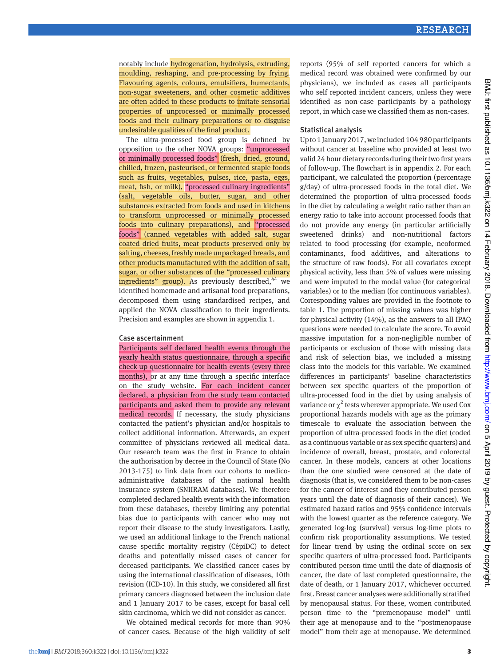notably include hydrogenation, hydrolysis, extruding, moulding, reshaping, and pre-processing by frying. Flavouring agents, colours, emulsifiers, humectants, non-sugar sweeteners, and other cosmetic additives are often added to these products to imitate sensorial properties of unprocessed or minimally processed foods and their culinary preparations or to disguise undesirable qualities of the final product.

The ultra-processed food group is defined by opposition to the other NOVA groups: "unprocessed or minimally processed foods" (fresh, dried, ground, chilled, frozen, pasteurised, or fermented staple foods such as fruits, vegetables, pulses, rice, pasta, eggs, meat, fish, or milk), "processed culinary ingredients" (salt, vegetable oils, butter, sugar, and other substances extracted from foods and used in kitchens to transform unprocessed or minimally processed foods into culinary preparations), and "processed foods" (canned vegetables with added salt, sugar coated dried fruits, meat products preserved only by salting, cheeses, freshly made unpackaged breads, and other products manufactured with the addition of salt, sugar, or other substances of the "processed culinary ingredients" group). As previously described, <sup>44</sup> we identified homemade and artisanal food preparations, decomposed them using standardised recipes, and applied the NOVA classification to their ingredients. Precision and examples are shown in appendix 1.

#### Case ascertainment

Participants self declared health events through the yearly health status questionnaire, through a specific check-up questionnaire for health events (every three months), or at any time through a specific interface on the study website. For each incident cancer declared, a physician from the study team contacted participants and asked them to provide any relevant medical records. If necessary, the study physicians contacted the patient's physician and/or hospitals to collect additional information. Afterwards, an expert committee of physicians reviewed all medical data. Our research team was the first in France to obtain the authorisation by decree in the Council of State (No 2013-175) to link data from our cohorts to medicoadministrative databases of the national health insurance system (SNIIRAM databases). We therefore completed declared health events with the information from these databases, thereby limiting any potential bias due to participants with cancer who may not report their disease to the study investigators. Lastly, we used an additional linkage to the French national cause specific mortality registry (CépiDC) to detect deaths and potentially missed cases of cancer for deceased participants. We classified cancer cases by using the international classification of diseases, 10th revision (ICD-10). In this study, we considered all first primary cancers diagnosed between the inclusion date and 1 January 2017 to be cases, except for basal cell skin carcinoma, which we did not consider as cancer.

We obtained medical records for more than 90% of cancer cases. Because of the high validity of self reports (95% of self reported cancers for which a medical record was obtained were confirmed by our physicians), we included as cases all participants who self reported incident cancers, unless they were identified as non-case participants by a pathology report, in which case we classified them as non-cases.

#### Statistical analysis

Up to 1 January 2017, we included 104 980 participants without cancer at baseline who provided at least two valid 24 hour dietary records during their two first years of follow-up. The flowchart is in appendix 2. For each participant, we calculated the proportion (percentage g/day) of ultra-processed foods in the total diet. We determined the proportion of ultra-processed foods in the diet by calculating a weight ratio rather than an energy ratio to take into account processed foods that do not provide any energy (in particular artificially sweetened drinks) and non-nutritional factors related to food processing (for example, neoformed contaminants, food additives, and alterations to the structure of raw foods). For all covariates except physical activity, less than 5% of values were missing and were imputed to the modal value (for categorical variables) or to the median (for continuous variables). Corresponding values are provided in the footnote to table 1. The proportion of missing values was higher for physical activity (14%), as the answers to all IPAQ questions were needed to calculate the score. To avoid massive imputation for a non-negligible number of participants or exclusion of those with missing data and risk of selection bias, we included a missing class into the models for this variable. We examined differences in participants' baseline characteristics between sex specific quarters of the proportion of ultra-processed food in the diet by using analysis of variance or  $\chi^2$  tests wherever appropriate. We used Cox proportional hazards models with age as the primary timescale to evaluate the association between the proportion of ultra-processed foods in the diet (coded as a continuous variable or as sex specific quarters) and incidence of overall, breast, prostate, and colorectal cancer. In these models, cancers at other locations than the one studied were censored at the date of diagnosis (that is, we considered them to be non-cases for the cancer of interest and they contributed person years until the date of diagnosis of their cancer). We estimated hazard ratios and 95% confidence intervals with the lowest quarter as the reference category. We generated log-log (survival) versus log-time plots to confirm risk proportionality assumptions. We tested for linear trend by using the ordinal score on sex specific quarters of ultra-processed food. Participants contributed person time until the date of diagnosis of cancer, the date of last completed questionnaire, the date of death, or 1 January 2017, whichever occurred first. Breast cancer analyses were additionally stratified by menopausal status. For these, women contributed person time to the "premenopause model" until their age at menopause and to the "postmenopause model" from their age at menopause. We determined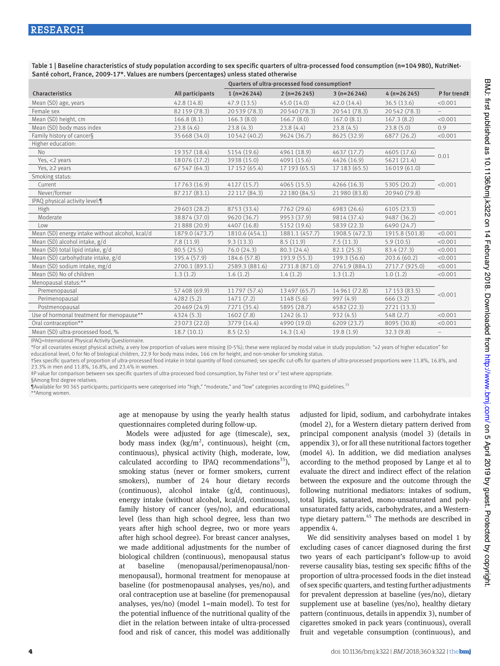## RESEARCH

Table 1 | Baseline characteristics of study population according to sex specific quarters of ultra-processed food consumption (n=104980), NutriNet-Santé cohort, France, 2009-17\*. Values are numbers (percentages) unless stated otherwise

|                                                 |                  | Quarters of ultra-processed food consumptiont |                |                |                |                          |  |  |
|-------------------------------------------------|------------------|-----------------------------------------------|----------------|----------------|----------------|--------------------------|--|--|
| Characteristics                                 | All participants | $1(n=26244)$                                  | $2(n=26245)$   | $3(n=26246)$   | $4(n=26245)$   | P for trend‡             |  |  |
| Mean (SD) age, years                            | 42.8 (14.8)      | 47.9(13.5)                                    | 45.0 (14.0)    | 42.0(14.4)     | 36.5(13.6)     | < 0.001                  |  |  |
| Female sex                                      | 82 159 (78.3)    | 20539 (78.3)                                  | 20 540 (78.3)  | 20541 (78.3)   | 20542 (78.3)   |                          |  |  |
| Mean (SD) height, cm                            | 166.8(8.1)       | 166.3(8.0)                                    | 166.7(8.0)     | 167.0(8.1)     | 167.3(8.2)     | < 0.001                  |  |  |
| Mean (SD) body mass index                       | 23.8(4.6)        | 23.8(4.3)                                     | 23.8(4.4)      | 23.8(4.5)      | 23.8(5.0)      | 0.9                      |  |  |
| Family history of cancer§                       | 35 668 (34.0)    | 10542 (40.2)                                  | 9624(36.7)     | 8625 (32.9)    | 6877 (26.2)    | < 0.001                  |  |  |
| Higher education:                               |                  |                                               |                |                |                |                          |  |  |
| <b>No</b>                                       | 19 357 (18.4)    | 5154 (19.6)                                   | 4961 (18.9)    | 4637 (17.7)    | 4605 (17.6)    | 0.01                     |  |  |
| Yes, <2 years                                   | 18076 (17.2)     | 3938 (15.0)                                   | 4091 (15.6)    | 4426 (16.9)    | 5621 (21.4)    |                          |  |  |
| Yes, $\geq$ years                               | 67 547 (64.3)    | 17 152 (65.4)                                 | 17 193 (65.5)  | 17 183 (65.5)  | 16019 (61.0)   |                          |  |  |
| Smoking status:                                 |                  |                                               |                |                |                | < 0.001                  |  |  |
| Current                                         | 17763 (16.9)     | 4127 (15.7)                                   | 4065(15.5)     | 4266 (16.3)    | 5305 (20.2)    |                          |  |  |
| Never/former                                    | 87 217 (83.1)    | 22 117 (84.3)                                 | 22 180 (84.5)  | 21980 (83.8)   | 20940 (79.8)   |                          |  |  |
| IPAQ physical activity level:                   |                  |                                               |                |                |                | < 0.001                  |  |  |
| High                                            | 29 603 (28.2)    | 8753 (33.4)                                   | 7762 (29.6)    | 6983 (26.6)    | 6105 (23.3)    |                          |  |  |
| Moderate                                        | 38874 (37.0)     | 9620 (36.7)                                   | 9953 (37.9)    | 9814 (37.4)    | 9487 (36.2)    |                          |  |  |
| Low                                             | 21888 (20.9)     | 4407 (16.8)                                   | 5152 (19.6)    | 5839 (22.3)    | 6490 (24.7)    |                          |  |  |
| Mean (SD) energy intake without alcohol, kcal/d | 1879.0 (473.7)   | 1810.6 (454.1)                                | 1881.1 (457.7) | 1908.5 (472.3) | 1915.8 (501.8) | < 0.001                  |  |  |
| Mean (SD) alcohol intake, g/d                   | 7.8(11.9)        | 9.3(13.3)                                     | 8.5(11.9)      | 7.5(11.3)      | 5.9(10.5)      | < 0.001                  |  |  |
| Mean (SD) total lipid intake, g/d               | 80.5(25.5)       | 76.0(24.3)                                    | 80.3(24.4)     | 82.1(25.3)     | 83.4 (27.3)    | < 0.001                  |  |  |
| Mean (SD) carbohydrate intake, g/d              | 195.4 (57.9)     | 184.6 (57.8)                                  | 193.9 (55.3)   | 199.3 (56.6)   | 203.6 (60.2)   | < 0.001                  |  |  |
| Mean (SD) sodium intake, mg/d                   | 2700.1 (893.1)   | 2589.3 (881.6)                                | 2731.8 (871.0) | 2761.9 (884.1) | 2717.7 (925.0) | < 0.001                  |  |  |
| Mean (SD) No of children                        | 1.3(1.2)         | 1.6(1.2)                                      | 1.4(1.2)       | 1.3(1.2)       | 1.0(1.2)       | < 0.001                  |  |  |
| Menopausal status:**                            |                  |                                               |                |                |                |                          |  |  |
| Premenopausal                                   | 57 408 (69.9)    | 11797 (57.4)                                  | 13 497 (65.7)  | 14961 (72.8)   | 17 153 (83.5)  |                          |  |  |
| Perimenopausal                                  | 4282 (5.2)       | 1471(7.2)                                     | 1148 (5.6)     | 997 (4.9)      | 666(3.2)       | < 0.001                  |  |  |
| Postmenopausal                                  | 20469 (24.9)     | 7271 (35.4)                                   | 5895 (28.7)    | 4582 (22.3)    | 2721(13.3)     |                          |  |  |
| Use of hormonal treatment for menopause**       | 4324 (5.3)       | 1602(7.8)                                     | 1242(6.1)      | 932(4.5)       | 548(2.7)       | < 0.001                  |  |  |
| Oral contraception**                            | 23073 (22.0)     | 3779 (14.4)                                   | 4990 (19.0)    | 6209 (23.7)    | 8095 (30.8)    | < 0.001                  |  |  |
| Mean (SD) ultra-processed food, %               | 18.7(10.1)       | 8.5(2.5)                                      | 14.3(1.4)      | 19.8(1.9)      | 32.3(9.8)      | $\overline{\phantom{a}}$ |  |  |

IPAQ=International Physical Activity Questionnaire.

\*For all covariates except physical activity, a very low proportion of values were missing (0-5%); these were replaced by modal value in study population: "≥2 years of higher education" for educational level, 0 for No of biological children, 22.9 for body mass index, 166 cm for height, and non-smoker for smoking status.

†Sex specifc quarters of proportion of ultra-processed food intake in total quantity of food consumed; sex specifc cut-ofs for quarters of ultra-processed proportions were 11.8%, 16.8%, and

23.3% in men and 11.8%, 16.8%, and 23.4% in women.

‡P value for comparison between sex specific quarters of ultra-processed food consumption, by Fisher test or x<sup>2</sup> test where appropriate.

§Among frst degree relatives.

¶Available for 90 365 participants; participants were categorised into "high," "moderate," and "low" categories according to IPAQ guidelines.<sup>35</sup>

\*\*Among women.

age at menopause by using the yearly health status questionnaires completed during follow-up.

Models were adjusted for age (timescale), sex, body mass index  $(kg/m^2)$ , continuous), height (cm, continuous), physical activity (high, moderate, low, calculated according to IPAQ recommendations $35$ ), smoking status (never or former smokers, current smokers), number of 24 hour dietary records (continuous), alcohol intake (g/d, continuous), energy intake (without alcohol, kcal/d, continuous), family history of cancer (yes/no), and educational level (less than high school degree, less than two years after high school degree, two or more years after high school degree). For breast cancer analyses, we made additional adjustments for the number of biological children (continuous), menopausal status at baseline (menopausal/perimenopausal/nonmenopausal), hormonal treatment for menopause at baseline (for postmenopausal analyses, yes/no), and oral contraception use at baseline (for premenopausal analyses, yes/no) (model 1=main model). To test for the potential influence of the nutritional quality of the diet in the relation between intake of ultra-processed food and risk of cancer, this model was additionally

adjusted for lipid, sodium, and carbohydrate intakes (model 2), for a Western dietary pattern derived from principal component analysis (model 3) (details in appendix 3), or for all these nutritional factors together (model 4). In addition, we did mediation analyses according to the method proposed by Lange et al to evaluate the direct and indirect effect of the relation between the exposure and the outcome through the following nutritional mediators: intakes of sodium, total lipids, saturated, mono-unsaturated and polyunsaturated fatty acids, carbohydrates, and a Westerntype dietary pattern.<sup>45</sup> The methods are described in appendix 4.

We did sensitivity analyses based on model 1 by excluding cases of cancer diagnosed during the first two years of each participant's follow-up to avoid reverse causality bias, testing sex specific fifths of the proportion of ultra-processed foods in the diet instead of sex specific quarters, and testing further adjustments for prevalent depression at baseline (yes/no), dietary supplement use at baseline (yes/no), healthy dietary pattern (continuous, details in appendix 3), number of cigarettes smoked in pack years (continuous), overall fruit and vegetable consumption (continuous), and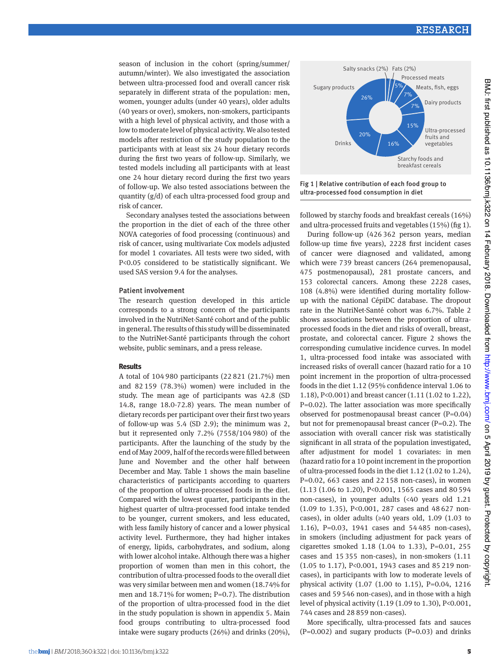season of inclusion in the cohort (spring/summer/ autumn/winter). We also investigated the association between ultra-processed food and overall cancer risk separately in different strata of the population: men, women, younger adults (under 40 years), older adults (40 years or over), smokers, non-smokers, participants with a high level of physical activity, and those with a low to moderate level of physical activity. We also tested models after restriction of the study population to the participants with at least six 24 hour dietary records during the first two years of follow-up. Similarly, we tested models including all participants with at least one 24 hour dietary record during the first two years of follow-up. We also tested associations between the quantity (g/d) of each ultra-processed food group and risk of cancer.

Secondary analyses tested the associations between the proportion in the diet of each of the three other NOVA categories of food processing (continuous) and risk of cancer, using multivariate Cox models adjusted for model 1 covariates. All tests were two sided, with P<0.05 considered to be statistically significant. We used SAS version 9.4 for the analyses.

#### Patient involvement

The research question developed in this article corresponds to a strong concern of the participants involved in the NutriNet-Santé cohort and of the public in general. The results of this study will be disseminated to the NutriNet-Santé participants through the cohort website, public seminars, and a press release.

#### **Results**

A total of 104 980 participants (22 821 (21.7%) men and 82 159 (78.3%) women) were included in the study. The mean age of participants was 42.8 (SD 14.8, range 18.0-72.8) years. The mean number of dietary records per participant over their first two years of follow-up was 5.4 (SD 2.9); the minimum was 2, but it represented only 7.2% (7558/104 980) of the participants. After the launching of the study by the end of May 2009, half of the records were filled between June and November and the other half between December and May. Table 1 shows the main baseline characteristics of participants according to quarters of the proportion of ultra-processed foods in the diet. Compared with the lowest quarter, participants in the highest quarter of ultra-processed food intake tended to be younger, current smokers, and less educated, with less family history of cancer and a lower physical activity level. Furthermore, they had higher intakes of energy, lipids, carbohydrates, and sodium, along with lower alcohol intake. Although there was a higher proportion of women than men in this cohort, the contribution of ultra-processed foods to the overall diet was very similar between men and women (18.74% for men and 18.71% for women; P=0.7). The distribution of the proportion of ultra-processed food in the diet in the study population is shown in appendix 5. Main food groups contributing to ultra-processed food intake were sugary products (26%) and drinks (20%),



Fig 1 | Relative contribution of each food group to ultra-processed food consumption in diet

followed by starchy foods and breakfast cereals (16%) and ultra-processed fruits and vegetables (15%) (fig 1).

During follow-up (426 362 person years, median follow-up time five years), 2228 first incident cases of cancer were diagnosed and validated, among which were 739 breast cancers (264 premenopausal, 475 postmenopausal), 281 prostate cancers, and 153 colorectal cancers. Among these 2228 cases, 108 (4.8%) were identified during mortality followup with the national CépiDC database. The dropout rate in the NutriNet-Santé cohort was 6.7%. Table 2 shows associations between the proportion of ultraprocessed foods in the diet and risks of overall, breast, prostate, and colorectal cancer. Figure 2 shows the corresponding cumulative incidence curves. In model 1, ultra-processed food intake was associated with increased risks of overall cancer (hazard ratio for a 10 point increment in the proportion of ultra-processed foods in the diet 1.12 (95% confidence interval 1.06 to 1.18), P<0.001) and breast cancer (1.11 (1.02 to 1.22), P=0.02). The latter association was more specifically observed for postmenopausal breast cancer (P=0.04) but not for premenopausal breast cancer (P=0.2). The association with overall cancer risk was statistically significant in all strata of the population investigated, after adjustment for model 1 covariates: in men (hazard ratio for a 10 point increment in the proportion of ultra-processed foods in the diet 1.12 (1.02 to 1.24), P=0.02, 663 cases and 22 158 non-cases), in women (1.13 (1.06 to 1.20), P<0.001, 1565 cases and 80 594 non-cases), in younger adults (<40 years old 1.21 (1.09 to 1.35), P<0.001, 287 cases and 48 627 noncases), in older adults ( $\geq 40$  years old, 1.09 (1.03 to 1.16), P=0.03, 1941 cases and 54 485 non-cases), in smokers (including adjustment for pack years of cigarettes smoked 1.18 (1.04 to 1.33), P=0.01, 255 cases and 15 355 non-cases), in non-smokers (1.11 (1.05 to 1.17), P<0.001, 1943 cases and 85 219 noncases), in participants with low to moderate levels of physical activity (1.07 (1.00 to 1.15), P=0.04, 1216 cases and 59 546 non-cases), and in those with a high level of physical activity (1.19 (1.09 to 1.30), P<0.001, 744 cases and 28 859 non-cases).

More specifically, ultra-processed fats and sauces  $(P=0.002)$  and sugary products  $(P=0.03)$  and drinks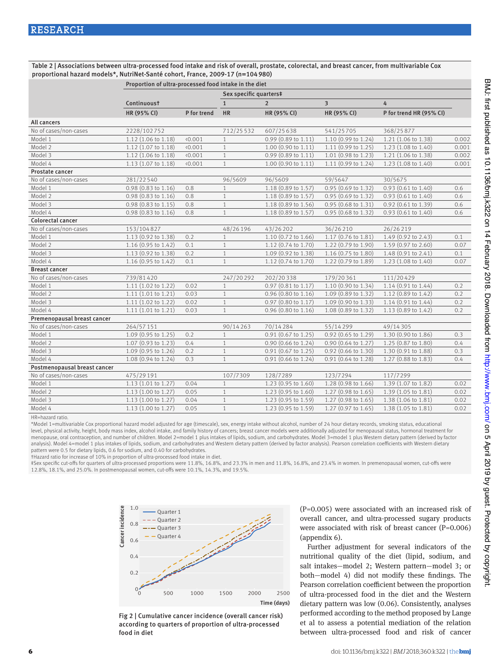Table 2 | Associations between ultra-processed food intake and risk of overall, prostate, colorectal, and breast cancer, from multivariable Cox proportional hazard models\*, NutriNet-Santé cohort, France, 2009-17 (n=104980)

|                              | Proportion of ultra-processed food intake in the diet |             |                        |                     |                               |                               |       |  |  |  |
|------------------------------|-------------------------------------------------------|-------------|------------------------|---------------------|-------------------------------|-------------------------------|-------|--|--|--|
|                              |                                                       |             | Sex specific quarters# |                     |                               |                               |       |  |  |  |
|                              | Continuoust                                           |             | $\mathbf{1}$           | $\overline{2}$      | $\overline{\mathbf{3}}$       | 4                             |       |  |  |  |
|                              | HR (95% CI)                                           | P for trend | <b>HR</b>              | HR (95% CI)         | HR (95% CI)                   | P for trend HR (95% CI)       |       |  |  |  |
| All cancers                  |                                                       |             |                        |                     |                               |                               |       |  |  |  |
| No of cases/non-cases        | 2228/102752                                           |             | 712/25532              | 607/25638           | 541/25705                     | 368/25877                     |       |  |  |  |
| Model 1                      | 1.12 (1.06 to 1.18)                                   | (0.001)     | $\mathbf{1}$           | 0.99 (0.89 to 1.11) | 1.10 (0.99 to 1.24)           | 1.21 (1.06 to 1.38)           | 0.002 |  |  |  |
| Model 2                      | 1.12 (1.07 to 1.18)                                   | (0.001)     | $\mathbf{1}$           | 1.00 (0.90 to 1.11) | 1.11 (0.99 to 1.25)           | 1.23 (1.08 to 1.40)           | 0.001 |  |  |  |
| Model 3                      | 1.12 (1.06 to 1.18)                                   | (0.001)     | $\mathbf{1}$           | 0.99 (0.89 to 1.11) | $1.01$ (0.98 to 1.23)         | 1.21 (1.06 to 1.38)           | 0.002 |  |  |  |
| Model 4                      | 1.13 (1.07 to 1.18)                                   | 0.001       | $\mathbf{1}$           | 1.00 (0.90 to 1.11) | 1.11 (0.99 to 1.24)           | 1.23 (1.08 to 1.40)           | 0.001 |  |  |  |
| Prostate cancer              |                                                       |             |                        |                     |                               |                               |       |  |  |  |
| No of cases/non-cases        | 281/22540                                             |             | 96/5609                | 96/5609             | 59/5647                       | 30/5675                       |       |  |  |  |
| Model 1                      | 0.98 (0.83 to 1.16)                                   | 0.8         | $\mathbf{1}$           | 1.18 (0.89 to 1.57) | 0.95 (0.69 to 1.32)           | 0.93 (0.61 to 1.40)           | 0.6   |  |  |  |
| Model 2                      | 0.98 (0.83 to 1.16)                                   | 0.8         | $\mathbf{1}$           | 1.18 (0.89 to 1.57) | 0.95 (0.69 to 1.32)           | $0.93(0.61 \text{ to } 1.40)$ | 0.6   |  |  |  |
| Model 3                      | 0.98 (0.83 to 1.15)                                   | 0.8         | $\mathbf{1}$           | 1.18 (0.89 to 1.56) | 0.95 (0.68 to 1.31)           | 0.92 (0.61 to 1.39)           | 0.6   |  |  |  |
| Model 4                      | $0.98(0.83 \text{ to } 1.16)$                         | 0.8         | $\mathbf{1}$           | 1.18 (0.89 to 1.57) | $0.95(0.68 \text{ to } 1.32)$ | $0.93(0.61 \text{ to } 1.40)$ | 0.6   |  |  |  |
| Colorectal cancer            |                                                       |             |                        |                     |                               |                               |       |  |  |  |
| No of cases/non-cases        | 153/104827                                            |             | 48/26 196              | 43/26 202           | 36/26 210                     | 26/26 219                     |       |  |  |  |
| Model 1                      | 1.13 (0.92 to 1.38)                                   | 0.2         | $\mathbf{1}$           | 1.10 (0.72 to 1.66) | 1.17 (0.76 to 1.81)           | 1.49 (0.92 to 2.43)           | 0.1   |  |  |  |
| Model 2                      | 1.16 (0.95 to 1.42)                                   | 0.1         | $\mathbf{1}$           | 1.12 (0.74 to 1.70) | 1.22 (0.79 to 1.90)           | 1.59 (0.97 to 2.60)           | 0.07  |  |  |  |
| Model 3                      | 1.13 (0.92 to 1.38)                                   | 0.2         | $\mathbf{1}$           | 1.09 (0.92 to 1.38) | 1.16 (0.75 to 1.80)           | 1.48 (0.91 to 2.41)           | 0.1   |  |  |  |
| Model 4                      | 1.16 (0.95 to 1.42)                                   | 0.1         | $\mathbf{1}$           | 1.12 (0.74 to 1.70) | 1.22 (0.79 to 1.89)           | 1.23 (1.08 to 1.40)           | 0.07  |  |  |  |
| <b>Breast cancer</b>         |                                                       |             |                        |                     |                               |                               |       |  |  |  |
| No of cases/non-cases        | 739/81420                                             |             | 247/20292              | 202/20338           | 179/20361                     | 111/20429                     |       |  |  |  |
| Model 1                      | 1.11 (1.02 to 1.22)                                   | 0.02        | $\mathbf{1}$           | 0.97 (0.81 to 1.17) | 1.10 (0.90 to 1.34)           | 1.14 (0.91 to 1.44)           | 0.2   |  |  |  |
| Model 2                      | 1.11(1.01 to 1.21)                                    | 0.03        | $\mathbf{1}$           | 0.96 (0.80 to 1.16) | 1.09 (0.89 to 1.32)           | 1.12 (0.89 to 1.42)           | 0.2   |  |  |  |
| Model 3                      | 1.11 (1.02 to 1.22)                                   | 0.02        | $\mathbf{1}$           | 0.97 (0.80 to 1.17) | 1.09 (0.90 to 1.33)           | 1.14 (0.91 to 1.44)           | 0.2   |  |  |  |
| Model 4                      | 1.11 (1.01 to 1.21)                                   | 0.03        | $\mathbf{1}$           | 0.96 (0.80 to 1.16) | 1.08 (0.89 to 1.32)           | 1.13 (0.89 to 1.42)           | 0.2   |  |  |  |
| Premenopausal breast cancer  |                                                       |             |                        |                     |                               |                               |       |  |  |  |
| No of cases/non-cases        | 264/57 151                                            |             | 90/14 263              | 70/14 284           | 55/14299                      | 49/14305                      |       |  |  |  |
| Model 1                      | 1.09 (0.95 to 1.25)                                   | 0.2         | $\mathbf{1}$           | 0.91 (0.67 to 1.25) | 0.92 (0.65 to 1.29)           | 1.30 (0.90 to 1.86)           | 0.3   |  |  |  |
| Model 2                      | 1.07 (0.93 to 1.23)                                   | 0.4         | $\mathbf{1}$           | 0.90 (0.66 to 1.24) | 0.90 (0.64 to 1.27)           | 1.25 (0.87 to 1.80)           | 0.4   |  |  |  |
| Model 3                      | 1.09 (0.95 to 1.26)                                   | 0.2         | $\mathbf{1}$           | 0.91 (0.67 to 1.25) | 0.92 (0.66 to 1.30)           | 1.30 (0.91 to 1.88)           | 0.3   |  |  |  |
| Model 4                      | 1.08 (0.94 to 1.24)                                   | 0.3         | $\mathbf{1}$           | 0.91 (0.66 to 1.24) | 0.91 (0.64 to 1.28)           | 1.27 (0.88 to 1.83)           | 0.4   |  |  |  |
| Postmenopausal breast cancer |                                                       |             |                        |                     |                               |                               |       |  |  |  |
| No of cases/non-cases        | 475/29191                                             |             | 107/7309               | 128/7289            | 123/7294                      | 117/7299                      |       |  |  |  |
| Model 1                      | 1.13 (1.01 to 1.27)                                   | 0.04        | $\mathbf{1}$           | 1.23 (0.95 to 1.60) | 1.28 (0.98 to 1.66)           | 1.39 (1.07 to 1.82)           | 0.02  |  |  |  |
| Model 2                      | 1.13(1.00 to 1.27)                                    | 0.05        | $\mathbf{1}$           | 1.23 (0.95 to 1.60) | 1.27 (0.98 to 1.65)           | 1.39 (1.05 to 1.81)           | 0.02  |  |  |  |
| Model 3                      | 1.13 (1.00 to 1.27)                                   | 0.04        | $\mathbf{1}$           | 1.23 (0.95 to 1.59) | 1.27 (0.98 to 1.65)           | 1.38 (1.06 to 1.81)           | 0.02  |  |  |  |
| Model 4                      | 1.13 (1.00 to 1.27)                                   | 0.05        | $\mathbf{1}$           | 1.23 (0.95 to 1.59) | 1.27 (0.97 to 1.65)           | 1.38 (1.05 to 1.81)           | 0.02  |  |  |  |

HR=hazard ratio.

\*Model 1=multivariable Cox proportional hazard model adjusted for age (timescale), sex, energy intake without alcohol, number of 24 hour dietary records, smoking status, educational level, physical activity, height, body mass index, alcohol intake, and family history of cancers; breast cancer models were additionally adjusted for menopausal status, hormonal treatment for menopause, oral contraception, and number of children. Model 2=model 1 plus intakes of lipids, sodium, and carbohydrates. Model 3=model 1 plus Western dietary pattern (derived by factor analysis). Model 4=model 1 plus intakes of lipids, sodium, and carbohydrates and Western dietary pattern (derived by factor analysis). Pearson correlation coefficients with Western dietary pattern were 0.5 for dietary lipids, 0.6 for sodium, and 0.40 for carbohydrates.

†Hazard ratio for increase of 10% in proportion of ultra-processed food intake in diet.

‡Sex specifc cut-ofs for quarters of ultra-processed proportions were 11.8%, 16.8%, and 23.3% in men and 11.8%, 16.8%, and 23.4% in women. In premenopausal women, cut-ofs were 12.8%, 18.1%, and 25.0%. In postmenopausal women, cut-ofs were 10.1%, 14.3%, and 19.5%.



Fig 2 | Cumulative cancer incidence (overall cancer risk) according to quarters of proportion of ultra-processed food in diet

(P=0.005) were associated with an increased risk of overall cancer, and ultra-processed sugary products were associated with risk of breast cancer (P=0.006) (appendix 6).

Further adjustment for several indicators of the nutritional quality of the diet (lipid, sodium, and salt intakes—model 2; Western pattern—model 3; or both—model 4) did not modify these findings. The Pearson correlation coefficient between the proportion of ultra-processed food in the diet and the Western dietary pattern was low (0.06). Consistently, analyses performed according to the method proposed by Lange et al to assess a potential mediation of the relation between ultra-processed food and risk of cancer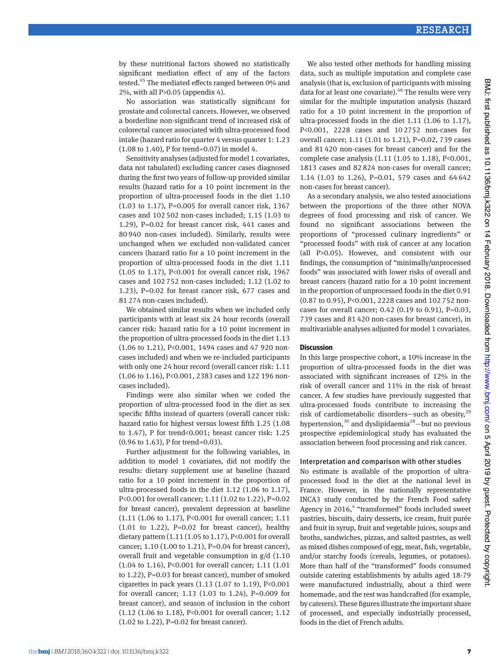by these nutritional factors showed no statistically significant mediation effect of any of the factors tested.<sup>45</sup> The mediated effects ranged between 0% and 2%, with all P>0.05 (appendix 4).

No association was statistically significant for prostate and colorectal cancers. However, we observed a borderline non-significant trend of increased risk of colorectal cancer associated with ultra-processed food intake (hazard ratio for quarter 4 versus quarter 1: 1.23 (1.08 to 1.40), P for trend=0.07) in model 4.

Sensitivity analyses (adjusted for model 1 covariates, data not tabulated) excluding cancer cases diagnosed during the first two years of follow-up provided similar results (hazard ratio for a 10 point increment in the proportion of ultra-processed foods in the diet 1.10 (1.03 to 1.17), P=0.005 for overall cancer risk, 1367 cases and 102 502 non-cases included; 1.15 (1.03 to 1.29), P=0.02 for breast cancer risk, 441 cases and 80 940 non-cases included). Similarly, results were unchanged when we excluded non-validated cancer cancers (hazard ratio for a 10 point increment in the proportion of ultra-processed foods in the diet 1.11 (1.05 to 1.17), P<0.001 for overall cancer risk, 1967 cases and 102 752 non-cases included; 1.12 (1.02 to 1.23), P=0.02 for breast cancer risk, 677 cases and 81 274 non-cases included).

We obtained similar results when we included only participants with at least six 24 hour records (overall cancer risk: hazard ratio for a 10 point increment in the proportion of ultra-processed foods in the diet 1.13 (1.06 to 1.21), P<0.001, 1494 cases and 47 920 noncases included) and when we re-included participants with only one 24 hour record (overall cancer risk: 1.11 (1.06 to 1.16), P<0.001, 2383 cases and 122 196 noncases included).

Findings were also similar when we coded the proportion of ultra-processed food in the diet as sex specific fifths instead of quarters (overall cancer risk: hazard ratio for highest versus lowest fifth 1.25 (1.08 to 1.47), P for trend<0.001; breast cancer risk: 1.25 (0.96 to 1.63), P for trend=0.03).

Further adjustment for the following variables, in addition to model 1 covariates, did not modify the results: dietary supplement use at baseline (hazard ratio for a 10 point increment in the proportion of ultra-processed foods in the diet 1.12 (1.06 to 1.17), P<0.001 for overall cancer; 1.11 (1.02 to 1.22), P=0.02 for breast cancer), prevalent depression at baseline (1.11 (1.06 to 1.17), P<0.001 for overall cancer; 1.11  $(1.01 \text{ to } 1.22)$ , P=0.02 for breast cancer), healthy dietary pattern (1.11 (1.05 to 1.17), P<0.001 for overall cancer; 1.10 (1.00 to 1.21), P=0.04 for breast cancer), overall fruit and vegetable consumption in g/d (1.10 (1.04 to 1.16), P<0.001 for overall cancer; 1.11 (1.01 to 1.22), P=0.03 for breast cancer), number of smoked cigarettes in pack years (1.13 (1.07 to 1.19), P<0.001 for overall cancer; 1.13 (1.03 to 1.24), P=0.009 for breast cancer), and season of inclusion in the cohort (1.12 (1.06 to 1.18), P<0.001 for overall cancer; 1.12 (1.02 to 1.22), P=0.02 for breast cancer).

We also tested other methods for handling missing data, such as multiple imputation and complete case analysis (that is, exclusion of participants with missing data for at least one covariate).<sup>46</sup> The results were very similar for the multiple imputation analysis (hazard ratio for a 10 point increment in the proportion of ultra-processed foods in the diet 1.11 (1.06 to 1.17), P<0.001, 2228 cases and 10 2752 non-cases for overall cancer; 1.11 (1.01 to 1.21), P=0.02, 739 cases and 81 420 non-cases for breast cancer) and for the complete case analysis (1.11 (1.05 to 1.18), P<0.001, 1813 cases and 82 824 non-cases for overall cancer; 1.14 (1.03 to 1.26), P=0.01, 579 cases and 64 642 non-cases for breast cancer).

As a secondary analysis, we also tested associations between the proportions of the three other NOVA degrees of food processing and risk of cancer. We found no significant associations between the proportions of "processed culinary ingredients" or "processed foods" with risk of cancer at any location (all P>0.05). However, and consistent with our findings, the consumption of "minimally/unprocessed foods" was associated with lower risks of overall and breast cancers (hazard ratio for a 10 point increment in the proportion of unprocessed foods in the diet 0.91 (0.87 to 0.95), P<0.001, 2228 cases and 102 752 noncases for overall cancer;  $0.42$  (0.19 to 0.91), P=0.03, 739 cases and 81 420 non-cases for breast cancer), in multivariable analyses adjusted for model 1 covariates.

#### **Discussion**

In this large prospective cohort, a 10% increase in the proportion of ultra-processed foods in the diet was associated with significant increases of 12% in the risk of overall cancer and 11% in the risk of breast cancer. A few studies have previously suggested that ultra-processed foods contribute to increasing the risk of cardiometabolic disorders—such as obesity, $^{29}$ hypertension,<sup>30</sup> and dyslipidaemia<sup>28</sup>—but no previous prospective epidemiological study has evaluated the association between food processing and risk cancer.

#### Interpretation and comparison with other studies

No estimate is available of the proportion of ultraprocessed food in the diet at the national level in France. However, in the nationally representative INCA3 study conducted by the French Food safety Agency in 2016,<sup>4</sup> "transformed" foods included sweet pastries, biscuits, dairy desserts, ice cream, fruit purée and fruit in syrup, fruit and vegetable juices, soups and broths, sandwiches, pizzas, and salted pastries, as well as mixed dishes composed of egg, meat, fish, vegetable, and/or starchy foods (cereals, legumes, or potatoes). More than half of the "transformed" foods consumed outside catering establishments by adults aged 18-79 were manufactured industrially, about a third were homemade, and the rest was handcrafted (for example, by caterers). These figures illustrate the important share of processed, and especially industrially processed, foods in the diet of French adults.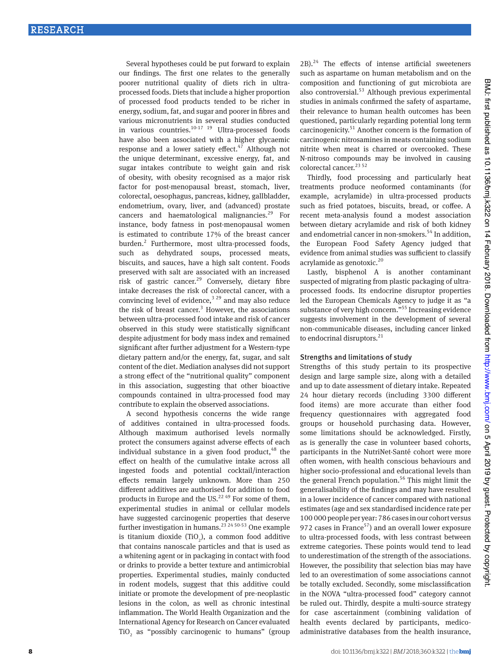Several hypotheses could be put forward to explain our findings. The first one relates to the generally poorer nutritional quality of diets rich in ultraprocessed foods. Diets that include a higher proportion of processed food products tended to be richer in energy, sodium, fat, and sugar and poorer in fibres and various micronutrients in several studies conducted in various countries. $10-17$   $19$  Ultra-processed foods have also been associated with a higher glycaemic response and a lower satiety effect. $47$  Although not the unique determinant, excessive energy, fat, and sugar intakes contribute to weight gain and risk of obesity, with obesity recognised as a major risk factor for post-menopausal breast, stomach, liver, colorectal, oesophagus, pancreas, kidney, gallbladder, endometrium, ovary, liver, and (advanced) prostate cancers and haematological malignancies.<sup>29</sup> For instance, body fatness in post-menopausal women is estimated to contribute 17% of the breast cancer burden.<sup>2</sup> Furthermore, most ultra-processed foods, such as dehydrated soups, processed meats, biscuits, and sauces, have a high salt content. Foods preserved with salt are associated with an increased risk of gastric cancer.<sup>29</sup> Conversely, dietary fibre intake decreases the risk of colorectal cancer, with a convincing level of evidence, $3^{29}$  and may also reduce the risk of breast cancer. $3$  However, the associations between ultra-processed food intake and risk of cancer observed in this study were statistically significant despite adjustment for body mass index and remained significant after further adjustment for a Western-type dietary pattern and/or the energy, fat, sugar, and salt content of the diet. Mediation analyses did not support a strong effect of the "nutritional quality" component in this association, suggesting that other bioactive compounds contained in ultra-processed food may contribute to explain the observed associations.

A second hypothesis concerns the wide range of additives contained in ultra-processed foods. Although maximum authorised levels normally protect the consumers against adverse effects of each individual substance in a given food product,  $48$  the effect on health of the cumulative intake across all ingested foods and potential cocktail/interaction effects remain largely unknown. More than 250 different additives are authorised for addition to food products in Europe and the US.<sup>22 49</sup> For some of them, experimental studies in animal or cellular models have suggested carcinogenic properties that deserve further investigation in humans.<sup>23 24 50-53</sup> One example is titanium dioxide  $(TiO<sub>2</sub>)$ , a common food additive that contains nanoscale particles and that is used as a whitening agent or in packaging in contact with food or drinks to provide a better texture and antimicrobial properties. Experimental studies, mainly conducted in rodent models, suggest that this additive could initiate or promote the development of pre-neoplastic lesions in the colon, as well as chronic intestinal inflammation. The World Health Organization and the International Agency for Research on Cancer evaluated  $\rm TiO_2$  as "possibly carcinogenic to humans" (group  $2B$ ).<sup>24</sup> The effects of intense artificial sweeteners such as aspartame on human metabolism and on the composition and functioning of gut microbiota are also controversial.<sup>53</sup> Although previous experimental studies in animals confirmed the safety of aspartame, their relevance to human health outcomes has been questioned, particularly regarding potential long term carcinogenicity.<sup>51</sup> Another concern is the formation of carcinogenic nitrosamines in meats containing sodium nitrite when meat is charred or overcooked. These N-nitroso compounds may be involved in causing colorectal cancer.<sup>23 52</sup>

Thirdly, food processing and particularly heat treatments produce neoformed contaminants (for example, acrylamide) in ultra-processed products such as fried potatoes, biscuits, bread, or coffee. A recent meta-analysis found a modest association between dietary acrylamide and risk of both kidney and endometrial cancer in non-smokers.<sup>54</sup> In addition, the European Food Safety Agency judged that evidence from animal studies was sufficient to classify acrylamide as genotoxic. $20$ 

Lastly, bisphenol A is another contaminant suspected of migrating from plastic packaging of ultraprocessed foods. Its endocrine disruptor properties led the European Chemicals Agency to judge it as "a substance of very high concern."<sup>55</sup> Increasing evidence suggests involvement in the development of several non-communicable diseases, including cancer linked to endocrinal disruptors. $21$ 

#### Strengths and limitations of study

Strengths of this study pertain to its prospective design and large sample size, along with a detailed and up to date assessment of dietary intake. Repeated 24 hour dietary records (including 3300 different food items) are more accurate than either food frequency questionnaires with aggregated food groups or household purchasing data. However, some limitations should be acknowledged. Firstly, as is generally the case in volunteer based cohorts, participants in the NutriNet-Santé cohort were more often women, with health conscious behaviours and higher socio-professional and educational levels than the general French population.<sup>56</sup> This might limit the generalisability of the findings and may have resulted in a lower incidence of cancer compared with national estimates (age and sex standardised incidence rate per 100 000 people per year: 786 cases in our cohort versus 972 cases in France<sup>57</sup>) and an overall lower exposure to ultra-processed foods, with less contrast between extreme categories. These points would tend to lead to underestimation of the strength of the associations. However, the possibility that selection bias may have led to an overestimation of some associations cannot be totally excluded. Secondly, some misclassification in the NOVA "ultra-processed food" category cannot be ruled out. Thirdly, despite a multi-source strategy for case ascertainment (combining validation of health events declared by participants, medicoadministrative databases from the health insurance,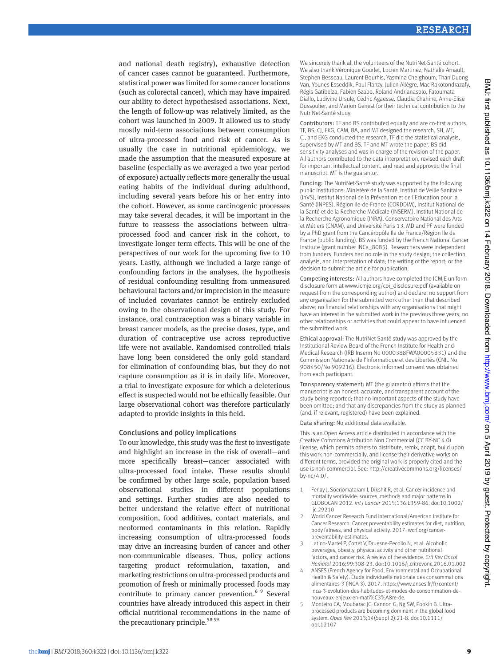and national death registry), exhaustive detection of cancer cases cannot be guaranteed. Furthermore, statistical power was limited for some cancer locations (such as colorectal cancer), which may have impaired our ability to detect hypothesised associations. Next, the length of follow-up was relatively limited, as the cohort was launched in 2009. It allowed us to study mostly mid-term associations between consumption of ultra-processed food and risk of cancer. As is usually the case in nutritional epidemiology, we made the assumption that the measured exposure at baseline (especially as we averaged a two year period of exposure) actually reflects more generally the usual eating habits of the individual during adulthood, including several years before his or her entry into the cohort. However, as some carcinogenic processes may take several decades, it will be important in the future to reassess the associations between ultraprocessed food and cancer risk in the cohort, to investigate longer term effects. This will be one of the perspectives of our work for the upcoming five to 10 years. Lastly, although we included a large range of confounding factors in the analyses, the hypothesis of residual confounding resulting from unmeasured behavioural factors and/or imprecision in the measure of included covariates cannot be entirely excluded owing to the observational design of this study. For instance, oral contraception was a binary variable in breast cancer models, as the precise doses, type, and duration of contraceptive use across reproductive life were not available. Randomised controlled trials have long been considered the only gold standard for elimination of confounding bias, but they do not capture consumption as it is in daily life. Moreover, a trial to investigate exposure for which a deleterious effect is suspected would not be ethically feasible. Our large observational cohort was therefore particularly adapted to provide insights in this field.

#### Conclusions and policy implications

To our knowledge, this study was the first to investigate and highlight an increase in the risk of overall—and more specifically breast—cancer associated with ultra-processed food intake. These results should be confirmed by other large scale, population based observational studies in different populations and settings. Further studies are also needed to better understand the relative effect of nutritional composition, food additives, contact materials, and neoformed contaminants in this relation. Rapidly increasing consumption of ultra-processed foods may drive an increasing burden of cancer and other non-communicable diseases. Thus, policy actions targeting product reformulation, taxation, and marketing restrictions on ultra-processed products and promotion of fresh or minimally processed foods may contribute to primary cancer prevention.<sup>6</sup> <sup>9</sup> Several countries have already introduced this aspect in their official nutritional recommendations in the name of the precautionary principle.<sup>58 59</sup>

We sincerely thank all the volunteers of the NutriNet-Santé cohort. We also thank Véronique Gourlet, Lucien Martinez, Nathalie Arnault, Stephen Besseau, Laurent Bourhis, Yasmina Chelghoum, Than Duong Van, Younes Esseddik, Paul Flanzy, Julien Allègre, Mac Rakotondrazafy, Régis Gatibelza, Fabien Szabo, Roland Andrianasolo, Fatoumata Diallo, Ludivine Ursule, Cédric Agaesse, Claudia Chahine, Anne-Elise Dussoulier, and Marion Genest for their technical contribution to the NutriNet-Santé study.

Contributors: TF and BS contributed equally and are co-frst authors. TF, BS, CJ, EKG, CAM, BA, and MT designed the research. SH, MT, CJ, and EKG conducted the research. TF did the statistical analysis, supervised by MT and BS. TF and MT wrote the paper. BS did sensitivity analyses and was in charge of the revision of the paper. All authors contributed to the data interpretation, revised each draf for important intellectual content, and read and approved the fnal manuscript. MT is the guarantor.

Funding: The NutriNet-Santé study was supported by the following public institutions: Ministère de la Santé, Institut de Veille Sanitaire (InVS), Institut National de la Prévention et de l'Education pour la Santé (INPES), Région Ile-de-France (CORDDIM), Institut National de la Santé et de la Recherche Médicale (INSERM), Institut National de la Recherche Agronomique (INRA), Conservatoire National des Arts et Métiers (CNAM), and Université Paris 13. MD and PF were funded by a PhD grant from the Cancéropôle Ile de France/Région Ile de France (public funding). BS was funded by the French National Cancer Institute (grant number INCa\_8085). Researchers were independent from funders. Funders had no role in the study design; the collection, analysis, and interpretation of data; the writing of the report; or the decision to submit the article for publication.

Competing interests: All authors have completed the ICMJE uniform disclosure form at www.icmje.org/coi\_disclosure.pdf (available on request from the corresponding author) and declare: no support from any organisation for the submitted work other than that described above; no fnancial relationships with any organisations that might have an interest in the submitted work in the previous three years; no other relationships or activities that could appear to have influenced the submitted work.

Ethical approval: The NutriNet-Santé study was approved by the Institutional Review Board of the French Institute for Health and Medical Research (IRB Inserm No 0000388FWA00005831) and the Commission Nationale de l'Informatique et des Libertés (CNIL No 908450/No 909216). Electronic informed consent was obtained from each participant.

Transparency statement: MT (the guarantor) affirms that the manuscript is an honest, accurate, and transparent account of the study being reported; that no important aspects of the study have been omitted; and that any discrepancies from the study as planned (and, if relevant, registered) have been explained.

Data sharing: No additional data available.

This is an Open Access article distributed in accordance with the Creative Commons Attribution Non Commercial (CC BY-NC 4.0) license, which permits others to distribute, remix, adapt, build upon this work non-commercially, and license their derivative works on diferent terms, provided the original work is properly cited and the use is non-commercial. See: http://creativecommons.org/licenses/ by-nc/4.0/.

- 1 Ferlay J, Soerjomataram I, Dikshit R, et al. Cancer incidence and mortality worldwide: sources, methods and major patterns in GLOBOCAN 2012. *Int J Cancer* 2015;136:E359-86. doi:10.1002/ ijc.29210
- 2 World Cancer Research Fund International/American Institute for Cancer Research. Cancer preventability estimates for diet, nutrition, body fatness, and physical activity. 2017. wcrf.org/cancerpreventability-estimates.
- Latino-Martel P, Cottet V, Druesne-Pecollo N, et al. Alcoholic beverages, obesity, physical activity and other nutritional factors, and cancer risk: A review of the evidence. *Crit Rev Oncol Hematol* 2016;99:308-23. doi:10.1016/j.critrevonc.2016.01.002
- 4 ANSES (French Agency for Food, Environmental and Occupational Health & Safety). Étude individuelle nationale des consommations alimentaires 3 (INCA 3). 2017. https://www.anses.fr/fr/content/ inca-3-evolution-des-habitudes-et-modes-de-consommation-denouveaux-enjeux-en-mati%C3%A8re-de.
- 5 Monteiro CA, Moubarac JC, Cannon G, Ng SW, Popkin B. Ultraprocessed products are becoming dominant in the global food system. *Obes Rev* 2013;14(Suppl 2):21-8. doi:10.1111/ obr.12107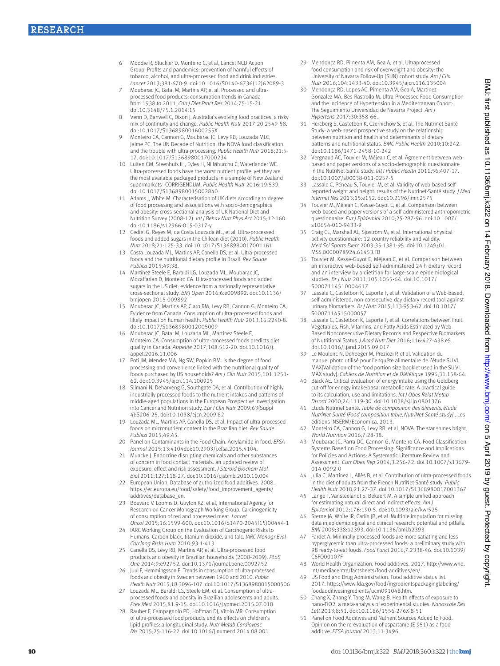- 6 Moodie R, Stuckler D, Monteiro C, et al, Lancet NCD Action Group. Profts and pandemics: prevention of harmful efects of tobacco, alcohol, and ultra-processed food and drink industries. *Lancet* 2013;381:670-9. doi:10.1016/S0140-6736(12)62089-3
- 7 Moubarac JC, Batal M, Martins AP, et al. Processed and ultraprocessed food products: consumption trends in Canada from 1938 to 2011. *Can J Diet Pract Res* 2014;75:15-21. doi:10.3148/75.1.2014.15
- 8 Venn D, Banwell C, Dixon J. Australia's evolving food practices: a risky mix of continuity and change. *Public Health Nutr* 2017;20:2549-58. doi:10.1017/S136898001600255X
- 9 Monteiro CA, Cannon G, Moubarac JC, Levy RB, Louzada MLC, Jaime PC. The UN Decade of Nutrition, the NOVA food classifcation and the trouble with ultra-processing. *Public Health Nutr* 2018;21:5- 17. doi:10.1017/S1368980017000234
- 10 Luiten CM, Steenhuis IH, Eyles H, Ni Mhurchu C, Waterlander WE. Ultra-processed foods have the worst nutrient profle, yet they are the most available packaged products in a sample of New Zealand supermarkets--CORRIGENDUM. *Public Health Nutr* 2016;19:539. doi:10.1017/S1368980015002840
- 11 Adams J, White M. Characterisation of UK diets according to degree of food processing and associations with socio-demographics and obesity: cross-sectional analysis of UK National Diet and Nutrition Survey (2008-12). *Int J Behav Nutr Phys Act* 2015;12:160. doi:10.1186/s12966-015-0317-y
- 12 Cediel G, Reyes M, da Costa Louzada ML, et al. Ultra-processed foods and added sugars in the Chilean diet (2010). *Public Health Nutr* 2018;21:125-33. doi:10.1017/S1368980017001161
- Costa Louzada ML, Martins AP, Canella DS, et al. Ultra-processed foods and the nutritional dietary profle in Brazil. *Rev Saude Publica* 2015;49:38.
- 14 Martínez Steele E, Baraldi LG, Louzada ML, Moubarac JC, Mozafarian D, Monteiro CA. Ultra-processed foods and added sugars in the US diet: evidence from a nationally representative cross-sectional study. *BMJ Open* 2016;6:e009892. doi:10.1136/ bmjopen-2015-009892
- 15 Moubarac JC, Martins AP, Claro RM, Levy RB, Cannon G, Monteiro CA, Evidence from Canada. Consumption of ultra-processed foods and likely impact on human health. *Public Health Nutr* 2013;16:2240-8. doi:10.1017/S1368980012005009
- 16 Moubarac JC, Batal M, Louzada ML, Martinez Steele E, Monteiro CA. Consumption of ultra-processed foods predicts diet quality in Canada. *Appetite* 2017;108:512-20. doi:10.1016/j. appet.2016.11.006
- 17 Poti JM, Mendez MA, Ng SW, Popkin BM. Is the degree of food processing and convenience linked with the nutritional quality of foods purchased by US households? *Am J Clin Nutr* 2015;101:1251- 62. doi:10.3945/ajcn.114.100925
- 18 Slimani N, Deharveng G, Southgate DA, et al. Contribution of highly industrially processed foods to the nutrient intakes and patterns of middle-aged populations in the European Prospective Investigation into Cancer and Nutrition study. *Eur J Clin Nutr* 2009;63(Suppl 4):S206-25. doi:10.1038/ejcn.2009.82
- 19 Louzada ML, Martins AP, Canella DS, et al. Impact of ultra-processed foods on micronutrient content in the Brazilian diet. *Rev Saude Publica* 2015;49:45.
- 20 Panel on Contaminants in the Food Chain. Acrylamide in food. *EFSA Journal* 2015;13:4104doi:10.2903/j.efsa.2015.4104.
- 21 Muncke J. Endocrine disrupting chemicals and other substances of concern in food contact materials: an updated review of exposure, efect and risk assessment. *J Steroid Biochem Mol Biol* 2011;127:118-27. doi:10.1016/j.jsbmb.2010.10.004
- 22 European Union. Database of authorized food additives. 2008. https://ec.europa.eu/food/safety/food\_improvement\_agents/ additives/database\_en.
- 23 Bouvard V, Loomis D, Guyton KZ, et al, International Agency for Research on Cancer Monograph Working Group. Carcinogenicity of consumption of red and processed meat. *Lancet Oncol* 2015;16:1599-600. doi:10.1016/S1470-2045(15)00444-1
- 24 IARC Working Group on the Evaluation of Carcinogenic Risks to Humans. Carbon black, titanium dioxide, and talc. *IARC Monogr Eval Carcinog Risks Hum* 2010;93:1-413.
- 25 Canella DS, Levy RB, Martins AP, et al. Ultra-processed food products and obesity in Brazilian households (2008-2009). *PLoS One* 2014;9:e92752. doi:10.1371/journal.pone.0092752
- 26 Juul F, Hemmingsson E. Trends in consumption of ultra-processed foods and obesity in Sweden between 1960 and 2010. *Public Health Nutr* 2015;18:3096-107. doi:10.1017/S1368980015000506
- 27 Louzada ML, Baraldi LG, Steele EM, et al. Consumption of ultraprocessed foods and obesity in Brazilian adolescents and adults. *Prev Med* 2015;81:9-15. doi:10.1016/j.ypmed.2015.07.018
- 28 Rauber F, Campagnolo PD, Hofman DJ, Vitolo MR. Consumption of ultra-processed food products and its efects on children's lipid profles: a longitudinal study. *Nutr Metab Cardiovasc Dis* 2015;25:116-22. doi:10.1016/j.numecd.2014.08.001
- 29 Mendonça RD, Pimenta AM, Gea A, et al. Ultraprocessed food consumption and risk of overweight and obesity: the University of Navarra Follow-Up (SUN) cohort study. *Am J Clin Nutr* 2016;104:1433-40. doi:10.3945/ajcn.116.135004
- 30 Mendonça RD, Lopes AC, Pimenta AM, Gea A, Martinez-Gonzalez MA, Bes-Rastrollo M. Ultra-Processed Food Consumption and the Incidence of Hypertension in a Mediterranean Cohort: The Seguimiento Universidad de Navarra Project. *Am J Hypertens* 2017;30:358-66.
- 31 Hercberg S, Castetbon K, Czernichow S, et al. The Nutrinet-Santé Study: a web-based prospective study on the relationship between nutrition and health and determinants of dietary patterns and nutritional status. *BMC Public Health* 2010;10:242. doi:10.1186/1471-2458-10-242
- Vergnaud AC, Touvier M, Méjean C, et al. Agreement between webbased and paper versions of a socio-demographic questionnaire in the NutriNet-Santé study. *Int J Public Health* 2011;56:407-17. doi:10.1007/s00038-011-0257-5
- 33 Lassale C, Péneau S, Touvier M, et al. Validity of web-based selfreported weight and height: results of the Nutrinet-Santé study. *J Med Internet Res* 2013;15:e152. doi:10.2196/jmir.2575
- 34 Touvier M, Méjean C, Kesse-Guyot E, et al. Comparison between web-based and paper versions of a self-administered anthropometric questionnaire. *Eur J Epidemiol* 2010;25:287-96. doi:10.1007/ s10654-010-9433-9
- 35 Craig CL, Marshall AL, Sjöström M, et al. International physical activity questionnaire: 12-country reliability and validity. *Med Sci Sports Exerc* 2003;35:1381-95. doi:10.1249/01. MSS.0000078924.61453.FB
- 36 Touvier M, Kesse-Guyot E, Méjean C, et al. Comparison between an interactive web-based self-administered 24 h dietary record and an interview by a dietitian for large-scale epidemiological studies. *Br J Nutr* 2011;105:1055-64. doi:10.1017/ S0007114510004617
- Lassale C, Castetbon K, Laporte F, et al. Validation of a Web-based, self-administered, non-consecutive-day dietary record tool against urinary biomarkers. *Br J Nutr* 2015;113:953-62. doi:10.1017/ S0007114515000057
- 38 Lassale C, Castetbon K, Laporte F, et al. Correlations between Fruit, Vegetables, Fish, Vitamins, and Fatty Acids Estimated by Web-Based Nonconsecutive Dietary Records and Respective Biomarkers of Nutritional Status. *J Acad Nutr Diet* 2016;116:427-438.e5. doi:10.1016/j.jand.2015.09.017
- 39 Le Moulenc N, Deheeger M, Preziozi P, et al. Validation du manuel photo utilisé pour l'enquête alimentaire de l'étude SU.VI. MAX[Validation of the food portion size booklet used in the SU.VI. MAX study]. *Cahiers de Nutrition et de Diététique* 1996;31:158-64.
- 40 Black AE. Critical evaluation of energy intake using the Goldberg cut-off for energy intake:basal metabolic rate. A practical guide to its calculation, use and limitations. *Int J Obes Relat Metab Disord* 2000;24:1119-30. doi:10.1038/sj.ijo.0801376
- 41 Etude Nutrinet Santé. *Table de composition des aliments, étude NutriNet-Santé [Food composition table, NutriNet-Santé study]* . Les éditions INSERM/Economica, 2013.
- 42 Monteiro CA, Cannon G, Levy RB, et al. NOVA. The star shines bright. *World Nutrition* 2016;7:28-38.
- 43 Moubarac JC, Parra DC, Cannon G, Monteiro CA. Food Classifcation Systems Based on Food Processing: Signifcance and Implications for Policies and Actions: A Systematic Literature Review and Assessment. *Curr Obes Rep* 2014;3:256-72. doi:10.1007/s13679- 014-0092-0
- 44 Julia C, Martinez L, Allès B, et al. Contribution of ultra-processed foods in the diet of adults from the French NutriNet-Santé study. *Public Health Nutr* 2018;21:27-37. doi:10.1017/S1368980017001367
- 45 Lange T, Vansteelandt S, Bekaert M. A simple unifed approach for estimating natural direct and indirect efects. *Am J Epidemiol* 2012;176:190-5. doi:10.1093/aje/kwr525
- 46 Sterne JA, White IR, Carlin JB, et al. Multiple imputation for missing data in epidemiological and clinical research: potential and pitfalls. *BMJ* 2009;338:b2393. doi:10.1136/bmj.b2393
- Fardet A. Minimally processed foods are more satiating and less hyperglycemic than ultra-processed foods: a preliminary study with 98 ready-to-eat foods. *Food Funct* 2016;7:2338-46. doi:10.1039/ C6FO00107F
- 48 World Health Organization. Food additives. 2017. http://www.who. int/mediacentre/factsheets/food-additives/en/.
- 49 US Food and Drug Administration. Food additive status list. 2017. https://www.fda.gov/food/ingredientspackaginglabeling/ foodadditivesingredients/ucm091048.htm.
- 50 Chang X, Zhang Y, Tang M, Wang B. Health efects of exposure to nano-TiO2: a meta-analysis of experimental studies. *Nanoscale Res Lett* 2013;8:51. doi:10.1186/1556-276X-8-51
- 51 Panel on Food Additives and Nutrient Sources Added to Food. Opinion on the re-evaluation of aspartame (E 951) as a food additive. *EFSA Journal* 2013;11:3496.